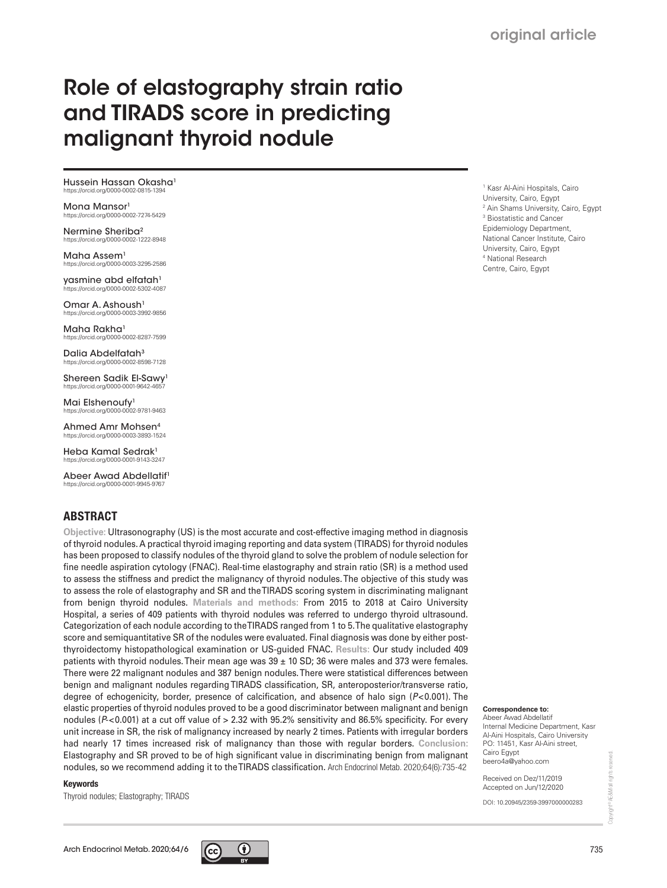# Role of elastography strain ratio and TIRADS score in predicting malignant thyroid nodule

Hussein Hassan Okasha1 https://orcid.org/0000-0002-0815-1394

Mona Mansor<sup>1</sup> /orcid.org/0000-0002-7274-5429

Nermine Sheriba2 https://orcid.org/0000-0002-1222-8948

Maha Assem<sup>1</sup> https://orcid.org/0000-0003-3295-2586

yasmine abd elfatah<sup>1</sup> https://orcid.org/0000-0002-5302-4087

Omar A. Ashoush<sup>1</sup> https://orcid.org/0000-0003-3992-9856

Maha Rakha<sup>1</sup> https://orcid.org/0000-0002-8287-7599

Dalia Abdelfatah<sup>3</sup> https://orcid.org/0000-0002-8598-7128

Shereen Sadik El-Sawy1 https://orcid.org/0000-0001-9642-4657

Mai Elshenoufy<sup>1</sup> https://orcid.org/0000-0002-9781-9463

Ahmed Amr Mohsen4 https://orcid.org/0000-0003-3893-1524

Heba Kamal Sedrak1 https://orcid.org/0000-0001-9143-3247

Abeer Awad Abdellatif1 https://orcid.org/0000-0001-9945-9767

### ABSTRACT

**Objective:** Ultrasonography (US) is the most accurate and cost-effective imaging method in diagnosis of thyroid nodules. A practical thyroid imaging reporting and data system (TIRADS) for thyroid nodules has been proposed to classify nodules of the thyroid gland to solve the problem of nodule selection for fine needle aspiration cytology (FNAC). Real-time elastography and strain ratio (SR) is a method used to assess the stiffness and predict the malignancy of thyroid nodules. The objective of this study was to assess the role of elastography and SR and the TIRADS scoring system in discriminating malignant from benign thyroid nodules. **Materials and methods:** From 2015 to 2018 at Cairo University Hospital, a series of 409 patients with thyroid nodules was referred to undergo thyroid ultrasound. Categorization of each nodule according to the TIRADS ranged from 1 to 5. The qualitative elastography score and semiquantitative SR of the nodules were evaluated. Final diagnosis was done by either postthyroidectomy histopathological examination or US-guided FNAC. **Results:** Our study included 409 patients with thyroid nodules. Their mean age was 39 ± 10 SD; 36 were males and 373 were females. There were 22 malignant nodules and 387 benign nodules. There were statistical differences between benign and malignant nodules regarding TIRADS classification, SR, anteroposterior/transverse ratio, degree of echogenicity, border, presence of calcification, and absence of halo sign (P<0.001). The elastic properties of thyroid nodules proved to be a good discriminator between malignant and benign nodules ( $P$  < 0.001) at a cut off value of  $> 2.32$  with 95.2% sensitivity and 86.5% specificity. For every unit increase in SR, the risk of malignancy increased by nearly 2 times. Patients with irregular borders had nearly 17 times increased risk of malignancy than those with regular borders. **Conclusion:**  Elastography and SR proved to be of high significant value in discriminating benign from malignant nodules, so we recommend adding it to the TIRADS classification. Arch Endocrinol Metab. 2020;64(6):735-42

#### Keywords

Thyroid nodules; Elastography; TIRADS



1 Kasr Al-Aini Hospitals, Cairo University, Cairo, Egypt 2 Ain Shams University, Cairo, Egypt 3 Biostatistic and Cancer Epidemiology Department, National Cancer Institute, Cairo University, Cairo, Egypt 4 National Research Centre, Cairo, Egypt

#### **Correspondence to:**

Abeer Awad Abdellatif Internal Medicine Department, Kasr Al-Aini Hospitals, Cairo University PO: 11451, Kasr Al-Aini street, Cairo Egypt beero4a@yahoo.com

Received on Dez/11/2019 Accepted on Jun/12/2020

DOI: 10.20945/2359-3997000000283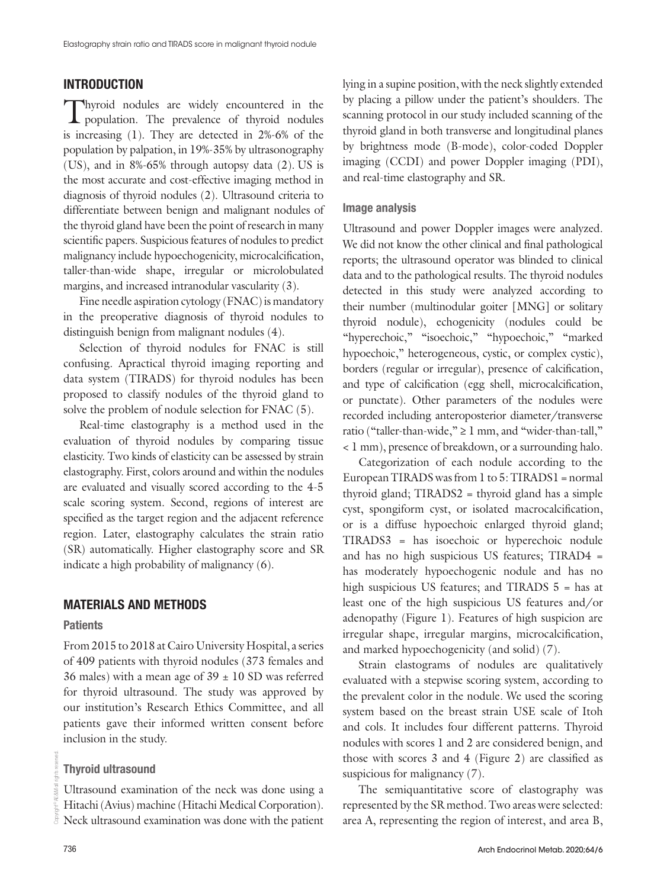# INTRODUCTION

Thyroid nodules are widely encountered in the population. The prevalence of thyroid nodules is increasing (1). They are detected in 2%-6% of the population by palpation, in 19%-35% by ultrasonography (US), and in 8%-65% through autopsy data (2). US is the most accurate and cost-effective imaging method in diagnosis of thyroid nodules (2). Ultrasound criteria to differentiate between benign and malignant nodules of the thyroid gland have been the point of research in many scientific papers. Suspicious features of nodules to predict malignancy include hypoechogenicity, microcalcification, taller-than-wide shape, irregular or microlobulated margins, and increased intranodular vascularity (3).

Fine needle aspiration cytology (FNAC) is mandatory in the preoperative diagnosis of thyroid nodules to distinguish benign from malignant nodules (4).

Selection of thyroid nodules for FNAC is still confusing. Apractical thyroid imaging reporting and data system (TIRADS) for thyroid nodules has been proposed to classify nodules of the thyroid gland to solve the problem of nodule selection for FNAC (5).

Real-time elastography is a method used in the evaluation of thyroid nodules by comparing tissue elasticity. Two kinds of elasticity can be assessed by strain elastography. First, colors around and within the nodules are evaluated and visually scored according to the 4-5 scale scoring system. Second, regions of interest are specified as the target region and the adjacent reference region. Later, elastography calculates the strain ratio (SR) automatically. Higher elastography score and SR indicate a high probability of malignancy (6).

#### MATERIALS AND METHODS

#### **Patients**

From 2015 to 2018 at Cairo University Hospital, a series of 409 patients with thyroid nodules (373 females and 36 males) with a mean age of  $39 \pm 10$  SD was referred for thyroid ultrasound. The study was approved by our institution's Research Ethics Committee, and all patients gave their informed written consent before inclusion in the study.

#### Thyroid ultrasound

Ultrasound examination of the neck was done using a Hitachi (Avius) machine (Hitachi Medical Corporation). Neck ultrasound examination was done with the patient lying in a supine position, with the neck slightly extended by placing a pillow under the patient's shoulders. The scanning protocol in our study included scanning of the thyroid gland in both transverse and longitudinal planes by brightness mode (B-mode), color-coded Doppler imaging (CCDI) and power Doppler imaging (PDI), and real-time elastography and SR.

#### Image analysis

Ultrasound and power Doppler images were analyzed. We did not know the other clinical and final pathological reports; the ultrasound operator was blinded to clinical data and to the pathological results. The thyroid nodules detected in this study were analyzed according to their number (multinodular goiter [MNG] or solitary thyroid nodule), echogenicity (nodules could be "hyperechoic," "isoechoic," "hypoechoic," "marked hypoechoic," heterogeneous, cystic, or complex cystic), borders (regular or irregular), presence of calcification, and type of calcification (egg shell, microcalcification, or punctate). Other parameters of the nodules were recorded including anteroposterior diameter/transverse ratio ("taller-than-wide,"  $\geq 1$  mm, and "wider-than-tall," < 1 mm), presence of breakdown, or a surrounding halo.

Categorization of each nodule according to the European TIRADS was from 1 to 5: TIRADS1 = normal thyroid gland; TIRADS2 = thyroid gland has a simple cyst, spongiform cyst, or isolated macrocalcification, or is a diffuse hypoechoic enlarged thyroid gland; TIRADS3 = has isoechoic or hyperechoic nodule and has no high suspicious US features; TIRAD4 = has moderately hypoechogenic nodule and has no high suspicious US features; and TIRADS 5 = has at least one of the high suspicious US features and/or adenopathy (Figure 1). Features of high suspicion are irregular shape, irregular margins, microcalcification, and marked hypoechogenicity (and solid) (7).

Strain elastograms of nodules are qualitatively evaluated with a stepwise scoring system, according to the prevalent color in the nodule. We used the scoring system based on the breast strain USE scale of Itoh and cols. It includes four different patterns. Thyroid nodules with scores 1 and 2 are considered benign, and those with scores 3 and 4 (Figure 2) are classified as suspicious for malignancy  $(7)$ .

The semiquantitative score of elastography was represented by the SR method. Two areas were selected: area A, representing the region of interest, and area B,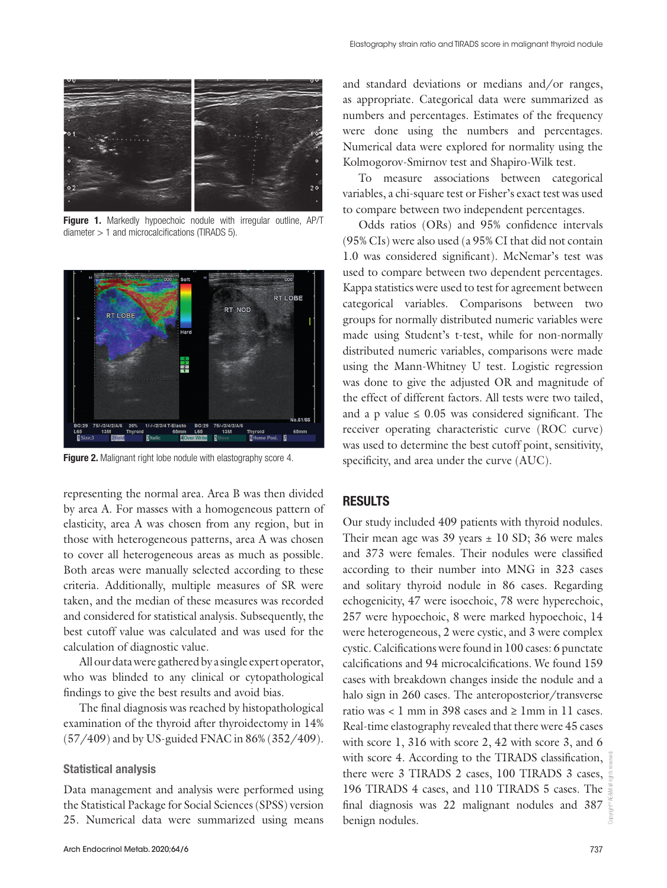

Figure 1. Markedly hypoechoic nodule with irregular outline, AP/T diameter > 1 and microcalcifications (TIRADS 5).



Figure 2. Malignant right lobe nodule with elastography score 4.

representing the normal area. Area B was then divided by area A. For masses with a homogeneous pattern of elasticity, area A was chosen from any region, but in those with heterogeneous patterns, area A was chosen to cover all heterogeneous areas as much as possible. Both areas were manually selected according to these criteria. Additionally, multiple measures of SR were taken, and the median of these measures was recorded and considered for statistical analysis. Subsequently, the best cutoff value was calculated and was used for the calculation of diagnostic value.

All our data were gathered by a single expert operator, who was blinded to any clinical or cytopathological findings to give the best results and avoid bias.

The final diagnosis was reached by histopathological examination of the thyroid after thyroidectomy in 14% (57/409) and by US-guided FNAC in 86% (352/409).

#### Statistical analysis

Data management and analysis were performed using the Statistical Package for Social Sciences (SPSS) version 25. Numerical data were summarized using means

and standard deviations or medians and/or ranges, as appropriate. Categorical data were summarized as numbers and percentages. Estimates of the frequency were done using the numbers and percentages. Numerical data were explored for normality using the Kolmogorov-Smirnov test and Shapiro-Wilk test.

To measure associations between categorical variables, a chi-square test or Fisher's exact test was used to compare between two independent percentages.

Odds ratios (ORs) and 95% confidence intervals (95% CIs) were also used (a 95% CI that did not contain 1.0 was considered significant). McNemar's test was used to compare between two dependent percentages. Kappa statistics were used to test for agreement between categorical variables. Comparisons between two groups for normally distributed numeric variables were made using Student's t-test, while for non-normally distributed numeric variables, comparisons were made using the Mann-Whitney U test. Logistic regression was done to give the adjusted OR and magnitude of the effect of different factors. All tests were two tailed, and a p value  $\leq 0.05$  was considered significant. The receiver operating characteristic curve (ROC curve) was used to determine the best cutoff point, sensitivity, specificity, and area under the curve (AUC).

#### RESULTS

Our study included 409 patients with thyroid nodules. Their mean age was  $39$  years  $\pm$  10 SD; 36 were males and 373 were females. Their nodules were classified according to their number into MNG in 323 cases and solitary thyroid nodule in 86 cases. Regarding echogenicity, 47 were isoechoic, 78 were hyperechoic, 257 were hypoechoic, 8 were marked hypoechoic, 14 were heterogeneous, 2 were cystic, and 3 were complex cystic. Calcifications were found in 100 cases: 6 punctate calcifications and 94 microcalcifications. We found 159 cases with breakdown changes inside the nodule and a halo sign in 260 cases. The anteroposterior/transverse ratio was  $\lt 1$  mm in 398 cases and  $\ge 1$  mm in 11 cases. Real-time elastography revealed that there were 45 cases with score 1, 316 with score 2, 42 with score 3, and 6 with score 4. According to the TIRADS classification, there were 3 TIRADS 2 cases, 100 TIRADS 3 cases, 196 TIRADS 4 cases, and 110 TIRADS 5 cases. The final diagnosis was 22 malignant nodules and 387 benign nodules.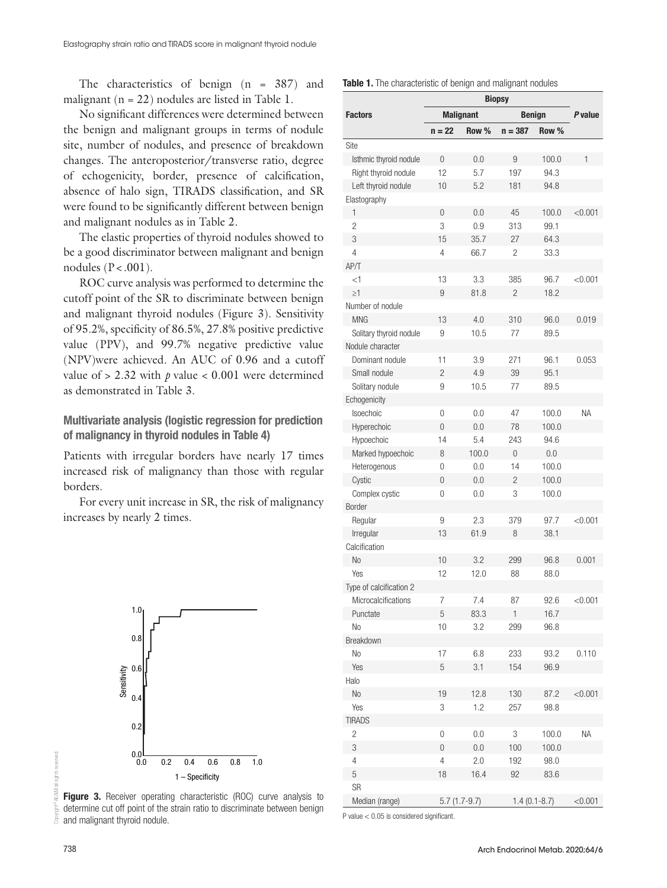The characteristics of benign (n = 387) and malignant  $(n = 22)$  nodules are listed in Table 1.

No significant differences were determined between the benign and malignant groups in terms of nodule site, number of nodules, and presence of breakdown changes. The anteroposterior/transverse ratio, degree of echogenicity, border, presence of calcification, absence of halo sign, TIRADS classification, and SR were found to be significantly different between benign and malignant nodules as in Table 2.

The elastic properties of thyroid nodules showed to be a good discriminator between malignant and benign nodules ( $P < .001$ ).

ROC curve analysis was performed to determine the cutoff point of the SR to discriminate between benign and malignant thyroid nodules (Figure 3). Sensitivity of 95.2%, specificity of 86.5%, 27.8% positive predictive value (PPV), and 99.7% negative predictive value (NPV)were achieved. An AUC of 0.96 and a cutoff value of  $> 2.32$  with  $p$  value  $< 0.001$  were determined as demonstrated in Table 3.

Multivariate analysis (logistic regression for prediction of malignancy in thyroid nodules in Table 4)

Patients with irregular borders have nearly 17 times increased risk of malignancy than those with regular borders.

For every unit increase in SR, the risk of malignancy increases by nearly 2 times.



**Figure 3.** Receiver operating characteristic (ROC) curve analysis to determine cut off point of the strain ratio to discriminate between benign and malignant thyroid nodule.

|  | Table 1. The characteristic of benign and malignant nodules |  |  |  |
|--|-------------------------------------------------------------|--|--|--|
|  |                                                             |  |  |  |

| <b>Factors</b>          |          | <b>Malignant</b> |                | <b>Benign</b>  |           |  |
|-------------------------|----------|------------------|----------------|----------------|-----------|--|
|                         | $n = 22$ | Row %            | $n = 387$      | Row %          |           |  |
| Site                    |          |                  |                |                |           |  |
| Isthmic thyroid nodule  | 0        | 0.0              | 9              | 100.0          | 1         |  |
| Right thyroid nodule    | 12       | 5.7              | 197            | 94.3           |           |  |
| Left thyroid nodule     | 10       | 5.2              | 181            | 94.8           |           |  |
| Elastography            |          |                  |                |                |           |  |
| 1                       | 0        | 0.0              | 45             | 100.0          | < 0.001   |  |
| $\overline{2}$          | 3        | 0.9              | 313            | 99.1           |           |  |
| 3                       | 15       | 35.7             | 27             | 64.3           |           |  |
| 4                       | 4        | 66.7             | 2              | 33.3           |           |  |
| AP/T                    |          |                  |                |                |           |  |
| <1                      | 13       | 3.3              | 385            | 96.7           | < 0.001   |  |
| $\geq$ 1                | 9        | 81.8             | $\overline{c}$ | 18.2           |           |  |
| Number of nodule        |          |                  |                |                |           |  |
| <b>MNG</b>              | 13       | 4.0              | 310            | 96.0           | 0.019     |  |
| Solitary thyroid nodule | 9        | 10.5             | 77             | 89.5           |           |  |
| Nodule character        |          |                  |                |                |           |  |
| Dominant nodule         | 11       | 3.9              | 271            | 96.1           | 0.053     |  |
| Small nodule            | 2        | 4.9              | 39             | 95.1           |           |  |
| Solitary nodule         | 9        | 10.5             | 77             | 89.5           |           |  |
|                         |          |                  |                |                |           |  |
| Echogenicity            |          |                  |                |                |           |  |
| <b>Isoechoic</b>        | 0        | 0.0              | 47             | 100.0          | <b>NA</b> |  |
| Hyperechoic             | $\Omega$ | 0.0              | 78             | 100.0          |           |  |
| Hypoechoic              | 14       | 5.4              | 243            | 94.6           |           |  |
| Marked hypoechoic       | 8        | 100.0            | $\Omega$       | 0.0            |           |  |
| Heterogenous            | 0        | 0.0              | 14             | 100.0          |           |  |
| Cystic                  | 0        | 0.0              | $\overline{c}$ | 100.0          |           |  |
| Complex cystic          | 0        | 0.0              | 3              | 100.0          |           |  |
| Border                  |          |                  |                |                |           |  |
| Regular                 | 9        | 2.3              | 379            | 97.7           | < 0.001   |  |
| Irregular               | 13       | 61.9             | 8              | 38.1           |           |  |
| Calcification           |          |                  |                |                |           |  |
| No                      | 10       | 3.2              | 299            | 96.8           | 0.001     |  |
| Yes                     | 12       | 12.0             | 88             | 88.0           |           |  |
| Type of calcification 2 |          |                  |                |                |           |  |
| Microcalcifications     | 7        | 7.4              | 87             | 92.6           | < 0.001   |  |
| Punctate                | 5        | 83.3             | 1              | 16.7           |           |  |
| No                      | 10       | 3.2              | 299            | 96.8           |           |  |
| Breakdown               |          |                  |                |                |           |  |
| No                      | 17       | 6.8              | 233            | 93.2           | 0.110     |  |
| Yes                     | 5        | 3.1              | 154            | 96.9           |           |  |
| Halo                    |          |                  |                |                |           |  |
| No                      | 19       | 12.8             | 130            | 87.2           | < 0.001   |  |
| Yes                     | 3        | 1.2              | 257            | 98.8           |           |  |
| <b>TIRADS</b>           |          |                  |                |                |           |  |
| 2                       | 0        | 0.0              | 3              | 100.0          | <b>NA</b> |  |
| 3                       | 0        | 0.0              | 100            | 100.0          |           |  |
| 4                       | 4        | 2.0              | 192            | 98.0           |           |  |
| 5                       | 18       | 16.4             | 92             | 83.6           |           |  |
| SR                      |          |                  |                |                |           |  |
| Median (range)          |          | $5.7(1.7-9.7)$   |                | $1.4(0.1-8.7)$ | < 0.001   |  |

P value < 0.05 is considered significant.

Copyright© AE&M all rights reserved.

ă

inhte raeanvant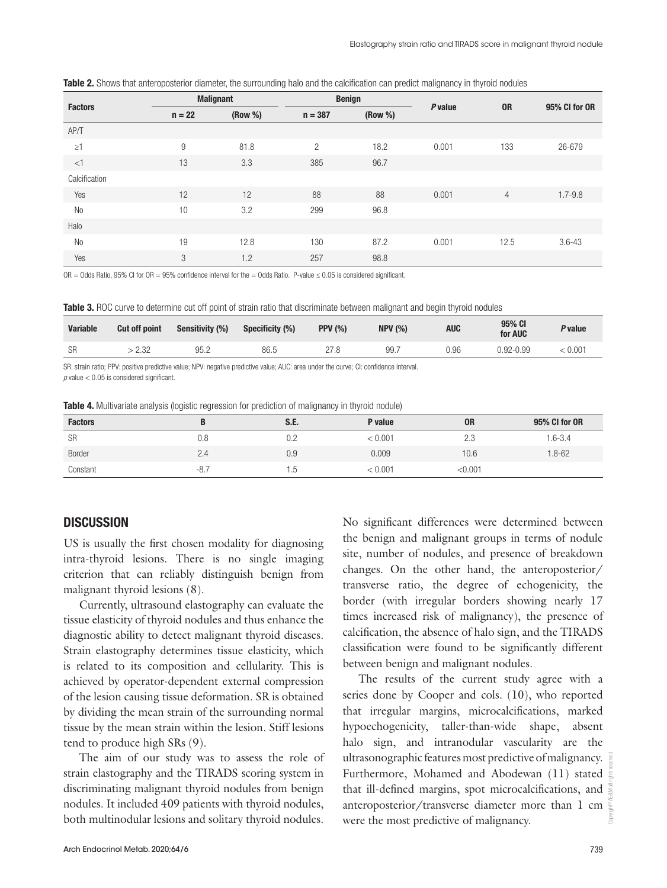| <b>Factors</b> | <b>Malignant</b> |         |                | <b>Benign</b> | P value |                | 95% CI for OR |
|----------------|------------------|---------|----------------|---------------|---------|----------------|---------------|
|                | $n = 22$         | (Row %) | $n = 387$      | (Row %)       |         | <b>OR</b>      |               |
| AP/T           |                  |         |                |               |         |                |               |
| $\geq$ 1       | 9                | 81.8    | $\overline{2}$ | 18.2          | 0.001   | 133            | 26-679        |
| <1             | 13               | 3.3     | 385            | 96.7          |         |                |               |
| Calcification  |                  |         |                |               |         |                |               |
| Yes            | 12               | 12      | 88             | 88            | 0.001   | $\overline{4}$ | $1.7 - 9.8$   |
| N <sub>0</sub> | 10               | 3.2     | 299            | 96.8          |         |                |               |
| Halo           |                  |         |                |               |         |                |               |
| <b>No</b>      | 19               | 12.8    | 130            | 87.2          | 0.001   | 12.5           | $3.6 - 43$    |
| Yes            | 3                | 1.2     | 257            | 98.8          |         |                |               |

|  |  |  |  | Table 2. Shows that anteroposterior diameter, the surrounding halo and the calcification can predict malignancy in thyroid nodules |
|--|--|--|--|------------------------------------------------------------------------------------------------------------------------------------|
|  |  |  |  |                                                                                                                                    |

OR = Odds Ratio, 95% CI for OR = 95% confidence interval for the = Odds Ratio. P-value  $\leq$  0.05 is considered significant.

Table 3. ROC curve to determine cut off point of strain ratio that discriminate between malignant and begin thyroid nodules

| <b>Variable</b> | <b>Cut off point</b>    | Sensitivity (%) | Specificity (%) | <b>PPV (%)</b> | <b>NPV (%)</b> | AUC  | 95% CI<br>for AUC | <sup><i>p</i></sup> value |
|-----------------|-------------------------|-----------------|-----------------|----------------|----------------|------|-------------------|---------------------------|
| <b>SR</b>       | 10 <sup>c</sup><br>L.JL | በፎ '<br>JU.L    | 86.5            |                | 99.7           | 0.96 | J.92-0.99         | 0.001                     |

SR: strain ratio; PPV: positive predictive value; NPV: negative predictive value; AUC: area under the curve; CI: confidence interval.

 $p$  value  $<$  0.05 is considered significant.

|  |  |  | <b>Table 4.</b> Multivariate analysis (logistic regression for prediction of malignancy in thyroid nodule) |  |
|--|--|--|------------------------------------------------------------------------------------------------------------|--|

| <b>Factors</b> |     | S.E. | P value | <b>OR</b> | 95% CI for OR |
|----------------|-----|------|---------|-----------|---------------|
| <b>SR</b>      | 0.8 | 0.2  | < 0.001 | 2.3       | $.6 - 3.4$    |
| Border         | 2.4 | 0.9  | 0.009   | 10.6      | $1.8 - 62$    |
| Constant       | -8. | C.   | < 0.001 | < 0.001   |               |

## **DISCUSSION**

US is usually the first chosen modality for diagnosing intra-thyroid lesions. There is no single imaging criterion that can reliably distinguish benign from malignant thyroid lesions (8).

Currently, ultrasound elastography can evaluate the tissue elasticity of thyroid nodules and thus enhance the diagnostic ability to detect malignant thyroid diseases. Strain elastography determines tissue elasticity, which is related to its composition and cellularity. This is achieved by operator-dependent external compression of the lesion causing tissue deformation. SR is obtained by dividing the mean strain of the surrounding normal tissue by the mean strain within the lesion. Stiff lesions tend to produce high SRs (9).

The aim of our study was to assess the role of strain elastography and the TIRADS scoring system in discriminating malignant thyroid nodules from benign nodules. It included 409 patients with thyroid nodules, both multinodular lesions and solitary thyroid nodules.

No significant differences were determined between the benign and malignant groups in terms of nodule site, number of nodules, and presence of breakdown changes. On the other hand, the anteroposterior/ transverse ratio, the degree of echogenicity, the border (with irregular borders showing nearly 17 times increased risk of malignancy), the presence of calcification, the absence of halo sign, and the TIRADS classification were found to be significantly different between benign and malignant nodules.

The results of the current study agree with a series done by Cooper and cols. (10), who reported that irregular margins, microcalcifications, marked hypoechogenicity, taller-than-wide shape, absent halo sign, and intranodular vascularity are the ultrasonographic features most predictive of malignancy. Furthermore, Mohamed and Abodewan (11) stated that ill-defined margins, spot microcalcifications, and anteroposterior/transverse diameter more than 1 cm were the most predictive of malignancy.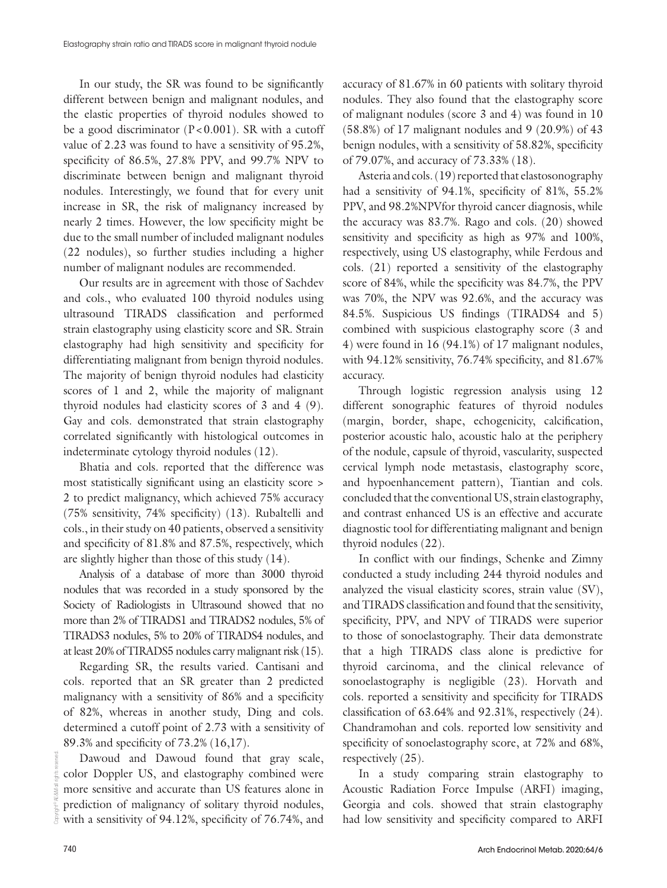In our study, the SR was found to be significantly different between benign and malignant nodules, and the elastic properties of thyroid nodules showed to be a good discriminator  $(P<0.001)$ . SR with a cutoff value of 2.23 was found to have a sensitivity of 95.2%, specificity of 86.5%, 27.8% PPV, and 99.7% NPV to discriminate between benign and malignant thyroid nodules. Interestingly, we found that for every unit increase in SR, the risk of malignancy increased by nearly 2 times. However, the low specificity might be due to the small number of included malignant nodules (22 nodules), so further studies including a higher number of malignant nodules are recommended.

Our results are in agreement with those of Sachdev and cols., who evaluated 100 thyroid nodules using ultrasound TIRADS classification and performed strain elastography using elasticity score and SR. Strain elastography had high sensitivity and specificity for differentiating malignant from benign thyroid nodules. The majority of benign thyroid nodules had elasticity scores of 1 and 2, while the majority of malignant thyroid nodules had elasticity scores of 3 and 4 (9). Gay and cols. demonstrated that strain elastography correlated significantly with histological outcomes in indeterminate cytology thyroid nodules (12).

Bhatia and cols. reported that the difference was most statistically significant using an elasticity score > 2 to predict malignancy, which achieved 75% accuracy (75% sensitivity, 74% specificity) (13). Rubaltelli and cols., in their study on 40 patients, observed a sensitivity and specificity of 81.8% and 87.5%, respectively, which are slightly higher than those of this study (14).

Analysis of a database of more than 3000 thyroid nodules that was recorded in a study sponsored by the Society of Radiologists in Ultrasound showed that no more than 2% of TIRADS1 and TIRADS2 nodules, 5% of TIRADS3 nodules, 5% to 20% of TIRADS4 nodules, and at least 20% of TIRADS5 nodules carry malignant risk (15).

Regarding SR, the results varied. Cantisani and cols. reported that an SR greater than 2 predicted malignancy with a sensitivity of 86% and a specificity of 82%, whereas in another study, Ding and cols. determined a cutoff point of 2.73 with a sensitivity of 89.3% and specificity of 73.2% (16,17).

Dawoud and Dawoud found that gray scale, color Doppler US, and elastography combined were more sensitive and accurate than US features alone in prediction of malignancy of solitary thyroid nodules, with a sensitivity of 94.12%, specificity of 76.74%, and accuracy of 81.67% in 60 patients with solitary thyroid nodules. They also found that the elastography score of malignant nodules (score 3 and 4) was found in 10 (58.8%) of 17 malignant nodules and 9 (20.9%) of 43 benign nodules, with a sensitivity of 58.82%, specificity of 79.07%, and accuracy of 73.33% (18).

Asteria and cols. (19) reported that elastosonography had a sensitivity of 94.1%, specificity of 81%, 55.2% PPV, and 98.2%NPVfor thyroid cancer diagnosis, while the accuracy was 83.7%. Rago and cols. (20) showed sensitivity and specificity as high as 97% and 100%, respectively, using US elastography, while Ferdous and cols. (21) reported a sensitivity of the elastography score of 84%, while the specificity was 84.7%, the PPV was 70%, the NPV was 92.6%, and the accuracy was 84.5%. Suspicious US findings (TIRADS4 and 5) combined with suspicious elastography score (3 and 4) were found in 16 (94.1%) of 17 malignant nodules, with 94.12% sensitivity, 76.74% specificity, and 81.67% accuracy.

Through logistic regression analysis using 12 different sonographic features of thyroid nodules (margin, border, shape, echogenicity, calcification, posterior acoustic halo, acoustic halo at the periphery of the nodule, capsule of thyroid, vascularity, suspected cervical lymph node metastasis, elastography score, and hypoenhancement pattern), Tiantian and cols. concluded that the conventional US, strain elastography, and contrast enhanced US is an effective and accurate diagnostic tool for differentiating malignant and benign thyroid nodules (22).

In conflict with our findings, Schenke and Zimny conducted a study including 244 thyroid nodules and analyzed the visual elasticity scores, strain value (SV), and TIRADS classification and found that the sensitivity, specificity, PPV, and NPV of TIRADS were superior to those of sonoelastography. Their data demonstrate that a high TIRADS class alone is predictive for thyroid carcinoma, and the clinical relevance of sonoelastography is negligible (23). Horvath and cols. reported a sensitivity and specificity for TIRADS classification of 63.64% and 92.31%, respectively (24). Chandramohan and cols. reported low sensitivity and specificity of sonoelastography score, at 72% and 68%, respectively (25).

In a study comparing strain elastography to Acoustic Radiation Force Impulse (ARFI) imaging, Georgia and cols. showed that strain elastography had low sensitivity and specificity compared to ARFI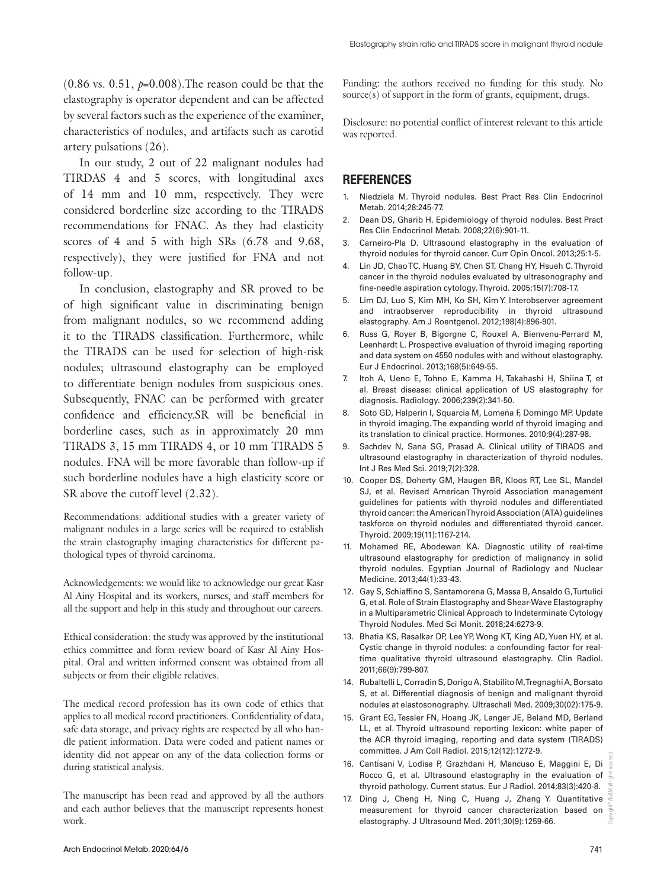$(0.86 \text{ vs. } 0.51, p=0.008)$ . The reason could be that the elastography is operator dependent and can be affected by several factors such as the experience of the examiner, characteristics of nodules, and artifacts such as carotid artery pulsations (26).

In our study, 2 out of 22 malignant nodules had TIRDAS 4 and 5 scores, with longitudinal axes of 14 mm and 10 mm, respectively. They were considered borderline size according to the TIRADS recommendations for FNAC. As they had elasticity scores of 4 and 5 with high SRs (6.78 and 9.68, respectively), they were justified for FNA and not follow-up.

In conclusion, elastography and SR proved to be of high significant value in discriminating benign from malignant nodules, so we recommend adding it to the TIRADS classification. Furthermore, while the TIRADS can be used for selection of high-risk nodules; ultrasound elastography can be employed to differentiate benign nodules from suspicious ones. Subsequently, FNAC can be performed with greater confidence and efficiency.SR will be beneficial in borderline cases, such as in approximately 20 mm TIRADS 3, 15 mm TIRADS 4, or 10 mm TIRADS 5 nodules. FNA will be more favorable than follow-up if such borderline nodules have a high elasticity score or SR above the cutoff level (2.32).

Recommendations: additional studies with a greater variety of malignant nodules in a large series will be required to establish the strain elastography imaging characteristics for different pathological types of thyroid carcinoma.

Acknowledgements: we would like to acknowledge our great Kasr Al Ainy Hospital and its workers, nurses, and staff members for all the support and help in this study and throughout our careers.

Ethical consideration: the study was approved by the institutional ethics committee and form review board of Kasr Al Ainy Hospital. Oral and written informed consent was obtained from all subjects or from their eligible relatives.

The medical record profession has its own code of ethics that applies to all medical record practitioners. Confidentiality of data, safe data storage, and privacy rights are respected by all who handle patient information. Data were coded and patient names or identity did not appear on any of the data collection forms or during statistical analysis.

The manuscript has been read and approved by all the authors and each author believes that the manuscript represents honest work.

Funding: the authors received no funding for this study. No source(s) of support in the form of grants, equipment, drugs.

Disclosure: no potential conflict of interest relevant to this article was reported.

#### **REFERENCES**

- 1. Niedziela M. Thyroid nodules. Best Pract Res Clin Endocrinol Metab. 2014;28:245-77.
- 2. Dean DS, Gharib H. Epidemiology of thyroid nodules. Best Pract Res Clin Endocrinol Metab. 2008;22(6):901-11.
- 3. Carneiro-Pla D. Ultrasound elastography in the evaluation of thyroid nodules for thyroid cancer. Curr Opin Oncol. 2013;25:1-5.
- 4. Lin JD, Chao TC, Huang BY, Chen ST, Chang HY, Hsueh C. Thyroid cancer in the thyroid nodules evaluated by ultrasonography and fine-needle aspiration cytology. Thyroid. 2005;15(7):708-17.
- 5. Lim DJ, Luo S, Kim MH, Ko SH, Kim Y. Interobserver agreement and intraobserver reproducibility in thyroid ultrasound elastography. Am J Roentgenol. 2012;198(4):896-901.
- 6. Russ G, Royer B, Bigorgne C, Rouxel A, Bienvenu-Perrard M, Leenhardt L. Prospective evaluation of thyroid imaging reporting and data system on 4550 nodules with and without elastography. Eur J Endocrinol. 2013;168(5):649-55.
- 7. Itoh A, Ueno E, Tohno E, Kamma H, Takahashi H, Shiina T, et al. Breast disease: clinical application of US elastography for diagnosis. Radiology. 2006;239(2):341-50.
- 8. Soto GD, Halperin I, Squarcia M, Lomeña F, Domingo MP. Update in thyroid imaging. The expanding world of thyroid imaging and its translation to clinical practice. Hormones. 2010;9(4):287-98.
- 9. Sachdev N, Sana SG, Prasad A. Clinical utility of TIRADS and ultrasound elastography in characterization of thyroid nodules. Int J Res Med Sci. 2019;7(2):328.
- 10. Cooper DS, Doherty GM, Haugen BR, Kloos RT, Lee SL, Mandel SJ, et al. Revised American Thyroid Association management guidelines for patients with thyroid nodules and differentiated thyroid cancer: the American Thyroid Association (ATA) guidelines taskforce on thyroid nodules and differentiated thyroid cancer. Thyroid. 2009;19(11):1167-214.
- 11. Mohamed RE, Abodewan KA. Diagnostic utility of real-time ultrasound elastography for prediction of malignancy in solid thyroid nodules. Egyptian Journal of Radiology and Nuclear Medicine. 2013;44(1):33-43.
- 12. Gay S, Schiaffino S, Santamorena G, Massa B, Ansaldo G, Turtulici G, et al. Role of Strain Elastography and Shear-Wave Elastography in a Multiparametric Clinical Approach to Indeterminate Cytology Thyroid Nodules. Med Sci Monit. 2018;24:6273-9.
- 13. Bhatia KS, Rasalkar DP, Lee YP, Wong KT, King AD, Yuen HY, et al. Cystic change in thyroid nodules: a confounding factor for realtime qualitative thyroid ultrasound elastography. Clin Radiol. 2011;66(9):799-807.
- 14. Rubaltelli L, Corradin S, Dorigo A, Stabilito M, Tregnaghi A, Borsato S, et al. Differential diagnosis of benign and malignant thyroid nodules at elastosonography. Ultraschall Med. 2009;30(02):175-9.
- 15. Grant EG, Tessler FN, Hoang JK, Langer JE, Beland MD, Berland LL, et al. Thyroid ultrasound reporting lexicon: white paper of the ACR thyroid imaging, reporting and data system (TIRADS) committee. J Am Coll Radiol. 2015;12(12):1272-9.
- 16. Cantisani V, Lodise P, Grazhdani H, Mancuso E, Maggini E, Di Rocco G, et al. Ultrasound elastography in the evaluation of thyroid pathology. Current status. Eur J Radiol. 2014;83(3):420-8.
- 17. Ding J, Cheng H, Ning C, Huang J, Zhang Y. Quantitative measurement for thyroid cancer characterization based on elastography. J Ultrasound Med. 2011;30(9):1259-66.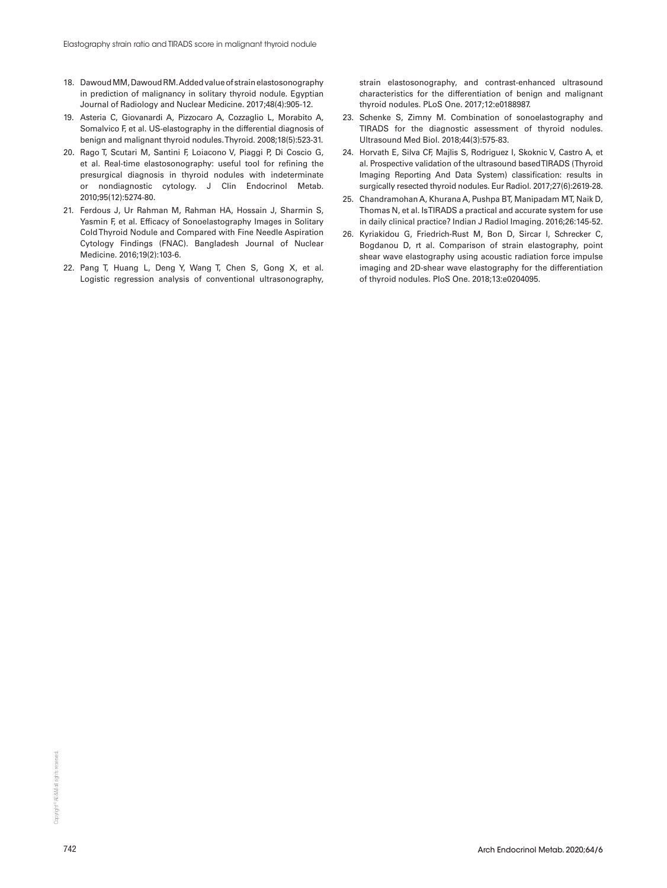- 18. Dawoud MM, Dawoud RM. Added value of strain elastosonography in prediction of malignancy in solitary thyroid nodule. Egyptian Journal of Radiology and Nuclear Medicine. 2017;48(4):905-12.
- 19. Asteria C, Giovanardi A, Pizzocaro A, Cozzaglio L, Morabito A, Somalvico F, et al. US-elastography in the differential diagnosis of benign and malignant thyroid nodules. Thyroid. 2008;18(5):523-31.
- 20. Rago T, Scutari M, Santini F, Loiacono V, Piaggi P, Di Coscio G, et al. Real-time elastosonography: useful tool for refining the presurgical diagnosis in thyroid nodules with indeterminate or nondiagnostic cytology. J Clin Endocrinol Metab. 2010;95(12):5274-80.
- 21. Ferdous J, Ur Rahman M, Rahman HA, Hossain J, Sharmin S, Yasmin F, et al. Efficacy of Sonoelastography Images in Solitary Cold Thyroid Nodule and Compared with Fine Needle Aspiration Cytology Findings (FNAC). Bangladesh Journal of Nuclear Medicine. 2016;19(2):103-6.
- 22. Pang T, Huang L, Deng Y, Wang T, Chen S, Gong X, et al. Logistic regression analysis of conventional ultrasonography,

strain elastosonography, and contrast-enhanced ultrasound characteristics for the differentiation of benign and malignant thyroid nodules. PLoS One. 2017;12:e0188987.

- 23. Schenke S, Zimny M. Combination of sonoelastography and TIRADS for the diagnostic assessment of thyroid nodules. Ultrasound Med Biol. 2018;44(3):575-83.
- 24. Horvath E, Silva CF, Majlis S, Rodriguez I, Skoknic V, Castro A, et al. Prospective validation of the ultrasound based TIRADS (Thyroid Imaging Reporting And Data System) classification: results in surgically resected thyroid nodules. Eur Radiol. 2017;27(6):2619-28.
- 25. Chandramohan A, Khurana A, Pushpa BT, Manipadam MT, Naik D, Thomas N, et al. Is TIRADS a practical and accurate system for use in daily clinical practice? Indian J Radiol Imaging. 2016;26:145-52.
- 26. Kyriakidou G, Friedrich-Rust M, Bon D, Sircar I, Schrecker C, Bogdanou D, rt al. Comparison of strain elastography, point shear wave elastography using acoustic radiation force impulse imaging and 2D-shear wave elastography for the differentiation of thyroid nodules. PloS One. 2018;13:e0204095.